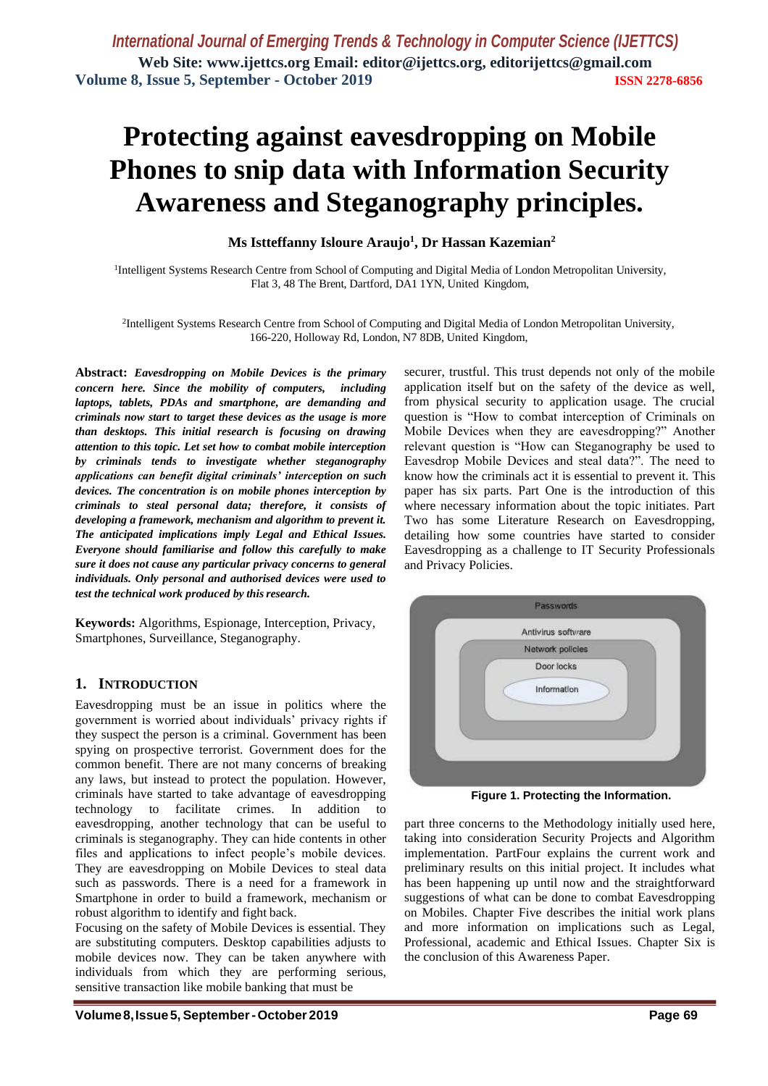# **Protecting against eavesdropping on Mobile Phones to snip data with Information Security Awareness and Steganography principles.**

#### **Ms Istteffanny Isloure Araujo<sup>1</sup> , Dr Hassan Kazemian<sup>2</sup>**

<sup>1</sup>Intelligent Systems Research Centre from School of Computing and Digital Media of London Metropolitan University, Flat 3, 48 The Brent, Dartford, DA1 1YN, United Kingdom,

2 Intelligent Systems Research Centre from School of Computing and Digital Media of London Metropolitan University, 166-220, Holloway Rd, London, N7 8DB, United Kingdom,

**Abstract:** *Eavesdropping on Mobile Devices is the primary concern here. Since the mobility of computers, including laptops, tablets, PDAs and smartphone, are demanding and criminals now start to target these devices as the usage is more than desktops. This initial research is focusing on drawing attention to this topic. Let set how to combat mobile interception by criminals tends to investigate whether steganography applications can benefit digital criminals' interception on such devices. The concentration is on mobile phones interception by criminals to steal personal data; therefore, it consists of developing a framework, mechanism and algorithm to prevent it. The anticipated implications imply Legal and Ethical Issues. Everyone should familiarise and follow this carefully to make sure it does not cause any particular privacy concerns to general individuals. Only personal and authorised devices were used to test the technical work produced by thisresearch.*

**Keywords:** Algorithms, Espionage, Interception, Privacy, Smartphones, Surveillance, Steganography.

#### **1. INTRODUCTION**

Eavesdropping must be an issue in politics where the government is worried about individuals' privacy rights if they suspect the person is a criminal. Government has been spying on prospective terrorist. Government does for the common benefit. There are not many concerns of breaking any laws, but instead to protect the population. However, criminals have started to take advantage of eavesdropping technology to facilitate crimes. In addition to eavesdropping, another technology that can be useful to criminals is steganography. They can hide contents in other files and applications to infect people's mobile devices. They are eavesdropping on Mobile Devices to steal data such as passwords. There is a need for a framework in Smartphone in order to build a framework, mechanism or robust algorithm to identify and fight back.

Focusing on the safety of Mobile Devices is essential. They are substituting computers. Desktop capabilities adjusts to mobile devices now. They can be taken anywhere with individuals from which they are performing serious, sensitive transaction like mobile banking that must be

securer, trustful. This trust depends not only of the mobile application itself but on the safety of the device as well, from physical security to application usage. The crucial question is "How to combat interception of Criminals on Mobile Devices when they are eavesdropping?" Another relevant question is "How can Steganography be used to Eavesdrop Mobile Devices and steal data?". The need to know how the criminals act it is essential to prevent it. This paper has six parts. Part One is the introduction of this where necessary information about the topic initiates. Part Two has some Literature Research on Eavesdropping, detailing how some countries have started to consider Eavesdropping as a challenge to IT Security Professionals and Privacy Policies.



**Figure 1. Protecting the Information.**

part three concerns to the Methodology initially used here, taking into consideration Security Projects and Algorithm implementation. PartFour explains the current work and preliminary results on this initial project. It includes what has been happening up until now and the straightforward suggestions of what can be done to combat Eavesdropping on Mobiles. Chapter Five describes the initial work plans and more information on implications such as Legal, Professional, academic and Ethical Issues. Chapter Six is the conclusion of this Awareness Paper.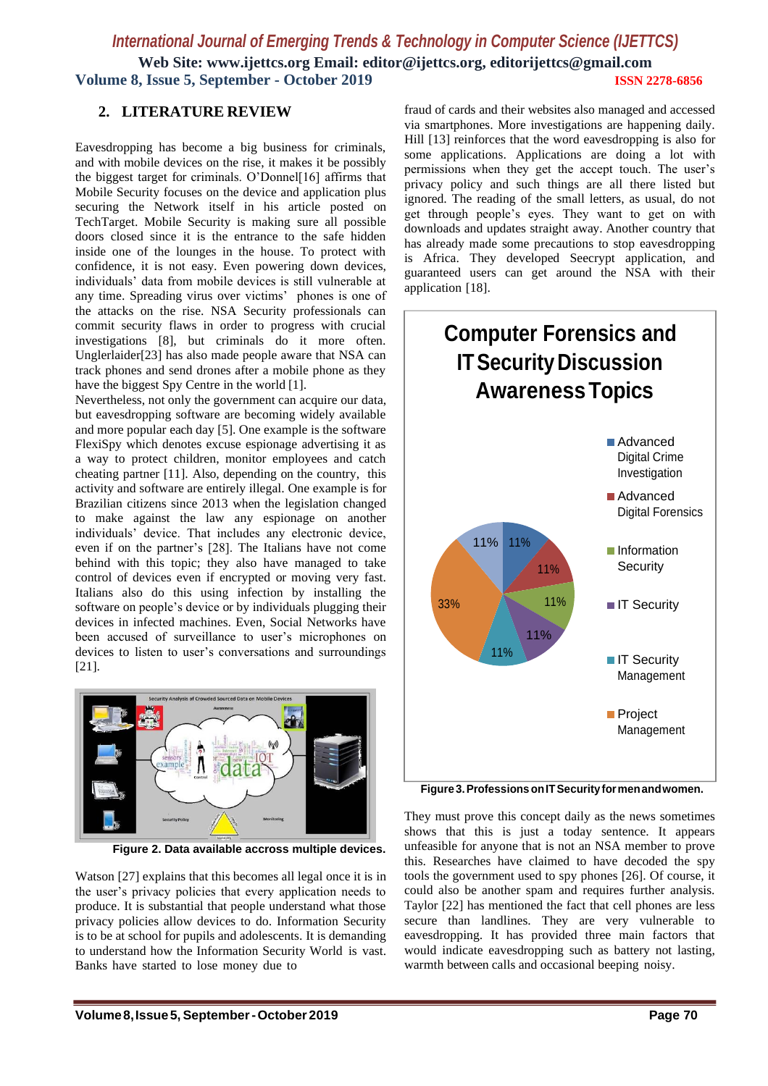## *International Journal of Emerging Trends & Technology in Computer Science (IJETTCS)* **Web Site: [www.ijettcs.org E](http://www.ijettcs.org/)mail: [editor@ijettcs.org,](mailto:editor@ijettcs.org) [editorijettcs@gmail.com](mailto:editorijettcs@gmail.com) Volume 8, Issue 5, September - October 2019 ISSN 2278-6856**

### **2. LITERATURE REVIEW**

Eavesdropping has become a big business for criminals, and with mobile devices on the rise, it makes it be possibly the biggest target for criminals. O'Donnel[16] affirms that Mobile Security focuses on the device and application plus securing the Network itself in his article posted on TechTarget. Mobile Security is making sure all possible doors closed since it is the entrance to the safe hidden inside one of the lounges in the house. To protect with confidence, it is not easy. Even powering down devices, individuals' data from mobile devices is still vulnerable at any time. Spreading virus over victims' phones is one of the attacks on the rise. NSA Security professionals can commit security flaws in order to progress with crucial investigations [8], but criminals do it more often. Unglerlaider[23] has also made people aware that NSA can track phones and send drones after a mobile phone as they have the biggest Spy Centre in the world [1].

Nevertheless, not only the government can acquire our data, but eavesdropping software are becoming widely available and more popular each day [5]. One example is the software FlexiSpy which denotes excuse espionage advertising it as a way to protect children, monitor employees and catch cheating partner [11]. Also, depending on the country, this activity and software are entirely illegal. One example is for Brazilian citizens since 2013 when the legislation changed to make against the law any espionage on another individuals' device. That includes any electronic device, even if on the partner's [28]. The Italians have not come behind with this topic; they also have managed to take control of devices even if encrypted or moving very fast. Italians also do this using infection by installing the software on people's device or by individuals plugging their devices in infected machines. Even, Social Networks have been accused of surveillance to user's microphones on devices to listen to user's conversations and surroundings [21].



**Figure 2. Data available accross multiple devices.**

Watson [27] explains that this becomes all legal once it is in the user's privacy policies that every application needs to produce. It is substantial that people understand what those privacy policies allow devices to do. Information Security is to be at school for pupils and adolescents. It is demanding to understand how the Information Security World is vast. Banks have started to lose money due to

fraud of cards and their websites also managed and accessed via smartphones. More investigations are happening daily. Hill [13] reinforces that the word eavesdropping is also for some applications. Applications are doing a lot with permissions when they get the accept touch. The user's privacy policy and such things are all there listed but ignored. The reading of the small letters, as usual, do not get through people's eyes. They want to get on with downloads and updates straight away. Another country that has already made some precautions to stop eavesdropping is Africa. They developed Seecrypt application, and guaranteed users can get around the NSA with their application [18].

## **Computer Forensics and IT Security Discussion AwarenessTopics**



**Figure3.Professions onITSecurity formenandwomen.**

They must prove this concept daily as the news sometimes shows that this is just a today sentence. It appears unfeasible for anyone that is not an NSA member to prove this. Researches have claimed to have decoded the spy tools the government used to spy phones [26]. Of course, it could also be another spam and requires further analysis. Taylor [22] has mentioned the fact that cell phones are less secure than landlines. They are very vulnerable to eavesdropping. It has provided three main factors that would indicate eavesdropping such as battery not lasting, warmth between calls and occasional beeping noisy.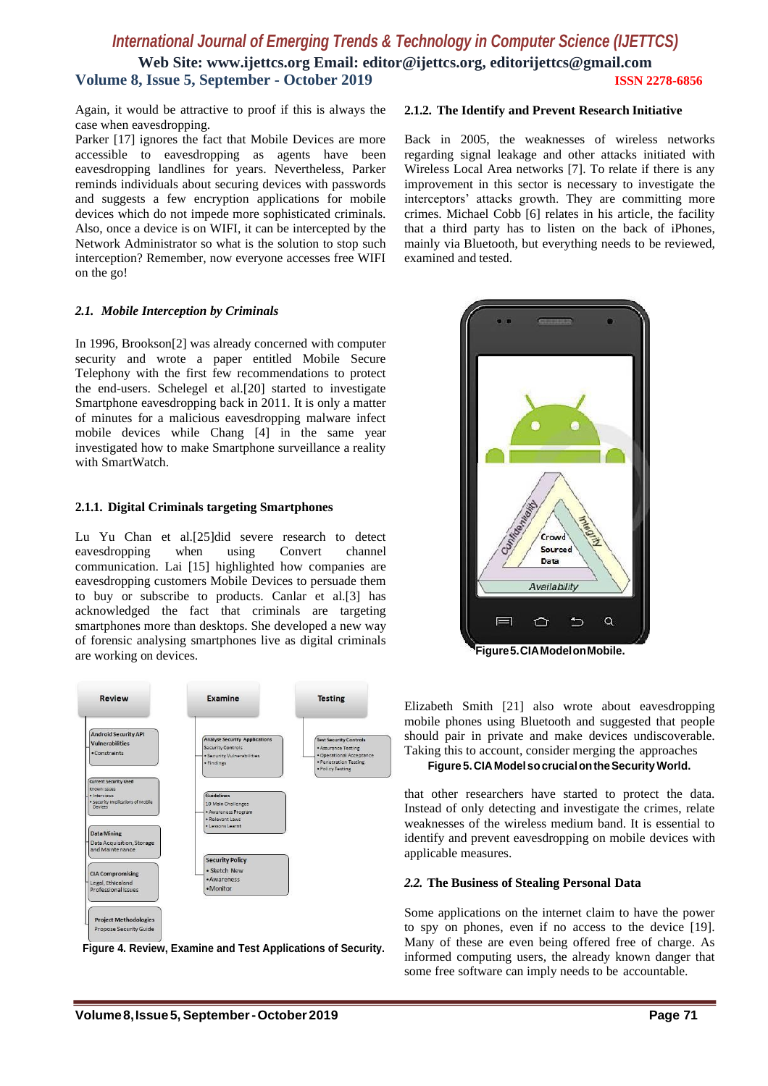## *International Journal of Emerging Trends & Technology in Computer Science (IJETTCS)* **Web Site: [www.ijettcs.org E](http://www.ijettcs.org/)mail: [editor@ijettcs.org,](mailto:editor@ijettcs.org) [editorijettcs@gmail.com](mailto:editorijettcs@gmail.com) Volume 8, Issue 5, September - October 2019 ISSN 2278-6856**

Again, it would be attractive to proof if this is always the case when eavesdropping.

Parker [17] ignores the fact that Mobile Devices are more accessible to eavesdropping as agents have been eavesdropping landlines for years. Nevertheless, Parker reminds individuals about securing devices with passwords and suggests a few encryption applications for mobile devices which do not impede more sophisticated criminals. Also, once a device is on WIFI, it can be intercepted by the Network Administrator so what is the solution to stop such interception? Remember, now everyone accesses free WIFI on the go!

#### *2.1. Mobile Interception by Criminals*

In 1996, Brookson[2] was already concerned with computer security and wrote a paper entitled Mobile Secure Telephony with the first few recommendations to protect the end-users. Schelegel et al.[20] started to investigate Smartphone eavesdropping back in 2011. It is only a matter of minutes for a malicious eavesdropping malware infect mobile devices while Chang [4] in the same year investigated how to make Smartphone surveillance a reality with SmartWatch.

#### **2.1.1. Digital Criminals targeting Smartphones**

Lu Yu Chan et al.[25]did severe research to detect eavesdropping when using Convert channel communication. Lai [15] highlighted how companies are eavesdropping customers Mobile Devices to persuade them to buy or subscribe to products. Canlar et al.[3] has acknowledged the fact that criminals are targeting smartphones more than desktops. She developed a new way of forensic analysing smartphones live as digital criminals are working on devices.



**Figure 4. Review, Examine and Test Applications of Security.**

#### **2.1.2. The Identify and Prevent Research Initiative**

Back in 2005, the weaknesses of wireless networks regarding signal leakage and other attacks initiated with Wireless Local Area networks [7]. To relate if there is any improvement in this sector is necessary to investigate the interceptors' attacks growth. They are committing more crimes. Michael Cobb [6] relates in his article, the facility that a third party has to listen on the back of iPhones, mainly via Bluetooth, but everything needs to be reviewed, examined and tested.



Elizabeth Smith [21] also wrote about eavesdropping mobile phones using Bluetooth and suggested that people should pair in private and make devices undiscoverable. Taking this to account, consider merging the approaches

#### **Figure 5.CIAModel socrucialontheSecurityWorld.**

that other researchers have started to protect the data. Instead of only detecting and investigate the crimes, relate weaknesses of the wireless medium band. It is essential to identify and prevent eavesdropping on mobile devices with applicable measures.

#### *2.2.* **The Business of Stealing Personal Data**

Some applications on the internet claim to have the power to spy on phones, even if no access to the device [19]. Many of these are even being offered free of charge. As informed computing users, the already known danger that some free software can imply needs to be accountable.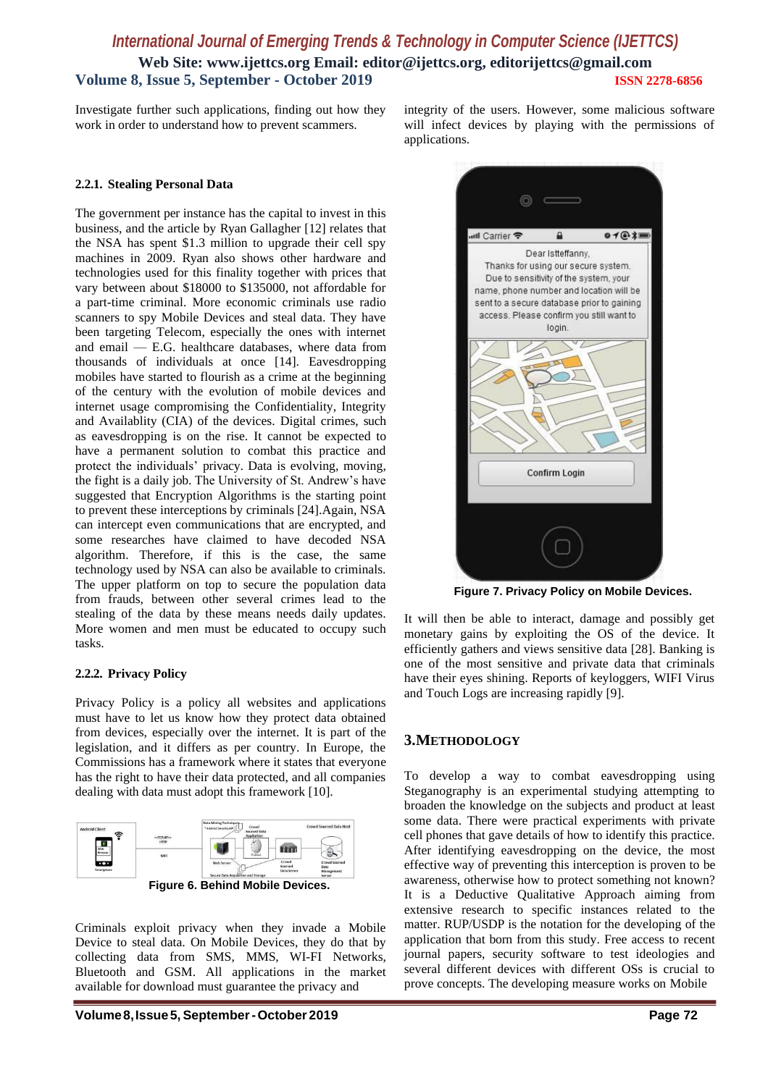## *International Journal of Emerging Trends & Technology in Computer Science (IJETTCS)* **Web Site: [www.ijettcs.org E](http://www.ijettcs.org/)mail: [editor@ijettcs.org,](mailto:editor@ijettcs.org) [editorijettcs@gmail.com](mailto:editorijettcs@gmail.com)**

#### **Volume 8, Issue 5, September - October 2019 ISSN 2278-6856**

Investigate further such applications, finding out how they work in order to understand how to prevent scammers.

integrity of the users. However, some malicious software will infect devices by playing with the permissions of applications.

#### **2.2.1. Stealing Personal Data**

The government per instance has the capital to invest in this business, and the article by Ryan Gallagher [12] relates that the NSA has spent \$1.3 million to upgrade their cell spy machines in 2009. Ryan also shows other hardware and technologies used for this finality together with prices that vary between about \$18000 to \$135000, not affordable for a part-time criminal. More economic criminals use radio scanners to spy Mobile Devices and steal data. They have been targeting Telecom, especially the ones with internet and email — E.G. healthcare databases, where data from thousands of individuals at once [14]. Eavesdropping mobiles have started to flourish as a crime at the beginning of the century with the evolution of mobile devices and internet usage compromising the Confidentiality, Integrity and Availablity (CIA) of the devices. Digital crimes, such as eavesdropping is on the rise. It cannot be expected to have a permanent solution to combat this practice and protect the individuals' privacy. Data is evolving, moving, the fight is a daily job. The University of St. Andrew's have suggested that Encryption Algorithms is the starting point to prevent these interceptions by criminals [24].Again, NSA can intercept even communications that are encrypted, and some researches have claimed to have decoded NSA algorithm. Therefore, if this is the case, the same technology used by NSA can also be available to criminals. The upper platform on top to secure the population data from frauds, between other several crimes lead to the stealing of the data by these means needs daily updates. More women and men must be educated to occupy such tasks.

#### **2.2.2. Privacy Policy**

Privacy Policy is a policy all websites and applications must have to let us know how they protect data obtained from devices, especially over the internet. It is part of the legislation, and it differs as per country. In Europe, the Commissions has a framework where it states that everyone has the right to have their data protected, and all companies dealing with data must adopt this framework [10].



**Figure 6. Behind Mobile Devices.**

Criminals exploit privacy when they invade a Mobile Device to steal data. On Mobile Devices, they do that by collecting data from SMS, MMS, WI-FI Networks, Bluetooth and GSM. All applications in the market available for download must guarantee the privacy and



**Figure 7. Privacy Policy on Mobile Devices.**

It will then be able to interact, damage and possibly get monetary gains by exploiting the OS of the device. It efficiently gathers and views sensitive data [28]. Banking is one of the most sensitive and private data that criminals have their eyes shining. Reports of keyloggers, WIFI Virus and Touch Logs are increasing rapidly [9].

#### **3.METHODOLOGY**

To develop a way to combat eavesdropping using Steganography is an experimental studying attempting to broaden the knowledge on the subjects and product at least some data. There were practical experiments with private cell phones that gave details of how to identify this practice. After identifying eavesdropping on the device, the most effective way of preventing this interception is proven to be awareness, otherwise how to protect something not known? It is a Deductive Qualitative Approach aiming from extensive research to specific instances related to the matter. RUP/USDP is the notation for the developing of the application that born from this study. Free access to recent journal papers, security software to test ideologies and several different devices with different OSs is crucial to prove concepts. The developing measure works on Mobile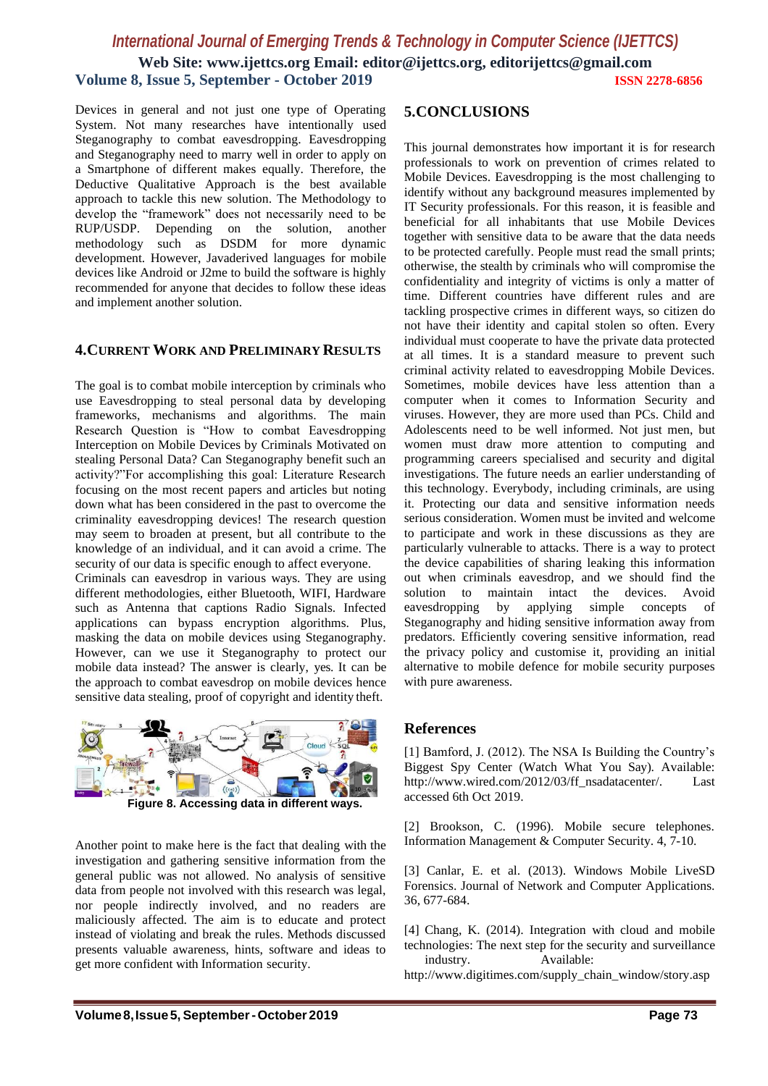## *International Journal of Emerging Trends & Technology in Computer Science (IJETTCS)*

**Web Site: [www.ijettcs.org E](http://www.ijettcs.org/)mail: [editor@ijettcs.org,](mailto:editor@ijettcs.org) [editorijettcs@gmail.com](mailto:editorijettcs@gmail.com) Volume 8, Issue 5, September - October 2019 ISSN 2278-6856**

Devices in general and not just one type of Operating System. Not many researches have intentionally used Steganography to combat eavesdropping. Eavesdropping and Steganography need to marry well in order to apply on a Smartphone of different makes equally. Therefore, the Deductive Qualitative Approach is the best available approach to tackle this new solution. The Methodology to develop the "framework" does not necessarily need to be RUP/USDP. Depending on the solution, another methodology such as DSDM for more dynamic development. However, Javaderived languages for mobile devices like Android or J2me to build the software is highly recommended for anyone that decides to follow these ideas and implement another solution.

#### **4.CURRENT WORK AND PRELIMINARY RESULTS**

The goal is to combat mobile interception by criminals who use Eavesdropping to steal personal data by developing frameworks, mechanisms and algorithms. The main Research Question is "How to combat Eavesdropping Interception on Mobile Devices by Criminals Motivated on stealing Personal Data? Can Steganography benefit such an activity?"For accomplishing this goal: Literature Research focusing on the most recent papers and articles but noting down what has been considered in the past to overcome the criminality eavesdropping devices! The research question may seem to broaden at present, but all contribute to the knowledge of an individual, and it can avoid a crime. The security of our data is specific enough to affect everyone.

Criminals can eavesdrop in various ways. They are using different methodologies, either Bluetooth, WIFI, Hardware such as Antenna that captions Radio Signals. Infected applications can bypass encryption algorithms. Plus, masking the data on mobile devices using Steganography. However, can we use it Steganography to protect our mobile data instead? The answer is clearly, yes. It can be the approach to combat eavesdrop on mobile devices hence sensitive data stealing, proof of copyright and identity theft.



**Figure 8. Accessing data in different ways.**

Another point to make here is the fact that dealing with the investigation and gathering sensitive information from the general public was not allowed. No analysis of sensitive data from people not involved with this research was legal, nor people indirectly involved, and no readers are maliciously affected. The aim is to educate and protect instead of violating and break the rules. Methods discussed presents valuable awareness, hints, software and ideas to get more confident with Information security.

#### **5.CONCLUSIONS**

This journal demonstrates how important it is for research professionals to work on prevention of crimes related to Mobile Devices. Eavesdropping is the most challenging to identify without any background measures implemented by IT Security professionals. For this reason, it is feasible and beneficial for all inhabitants that use Mobile Devices together with sensitive data to be aware that the data needs to be protected carefully. People must read the small prints; otherwise, the stealth by criminals who will compromise the confidentiality and integrity of victims is only a matter of time. Different countries have different rules and are tackling prospective crimes in different ways, so citizen do not have their identity and capital stolen so often. Every individual must cooperate to have the private data protected at all times. It is a standard measure to prevent such criminal activity related to eavesdropping Mobile Devices. Sometimes, mobile devices have less attention than a computer when it comes to Information Security and viruses. However, they are more used than PCs. Child and Adolescents need to be well informed. Not just men, but women must draw more attention to computing and programming careers specialised and security and digital investigations. The future needs an earlier understanding of this technology. Everybody, including criminals, are using it. Protecting our data and sensitive information needs serious consideration. Women must be invited and welcome to participate and work in these discussions as they are particularly vulnerable to attacks. There is a way to protect the device capabilities of sharing leaking this information out when criminals eavesdrop, and we should find the solution to maintain intact the devices. Avoid eavesdropping by applying simple concepts of Steganography and hiding sensitive information away from predators. Efficiently covering sensitive information, read the privacy policy and customise it, providing an initial alternative to mobile defence for mobile security purposes with pure awareness.

#### **References**

[1] Bamford, J. (2012). The NSA Is Building the Country's Biggest Spy Center (Watch What You Say). Available: [http://www.wired.com/2012/03/ff\\_nsadatacenter/.](http://www.wired.com/2012/03/ff_nsadatacenter/) Last accessed 6th Oct 2019.

[2] Brookson, C. (1996). Mobile secure telephones. Information Management & Computer Security. 4, 7-10.

[3] Canlar, E. et al. (2013). Windows Mobile LiveSD Forensics. Journal of Network and Computer Applications. 36, 677-684.

[4] Chang, K. (2014). Integration with cloud and mobile technologies: The next step for the security and surveillance industry. Available:

[http://www.digitimes.com/supply\\_chain\\_window/story.asp](http://www.digitimes.com/supply_chain_window/story.asp)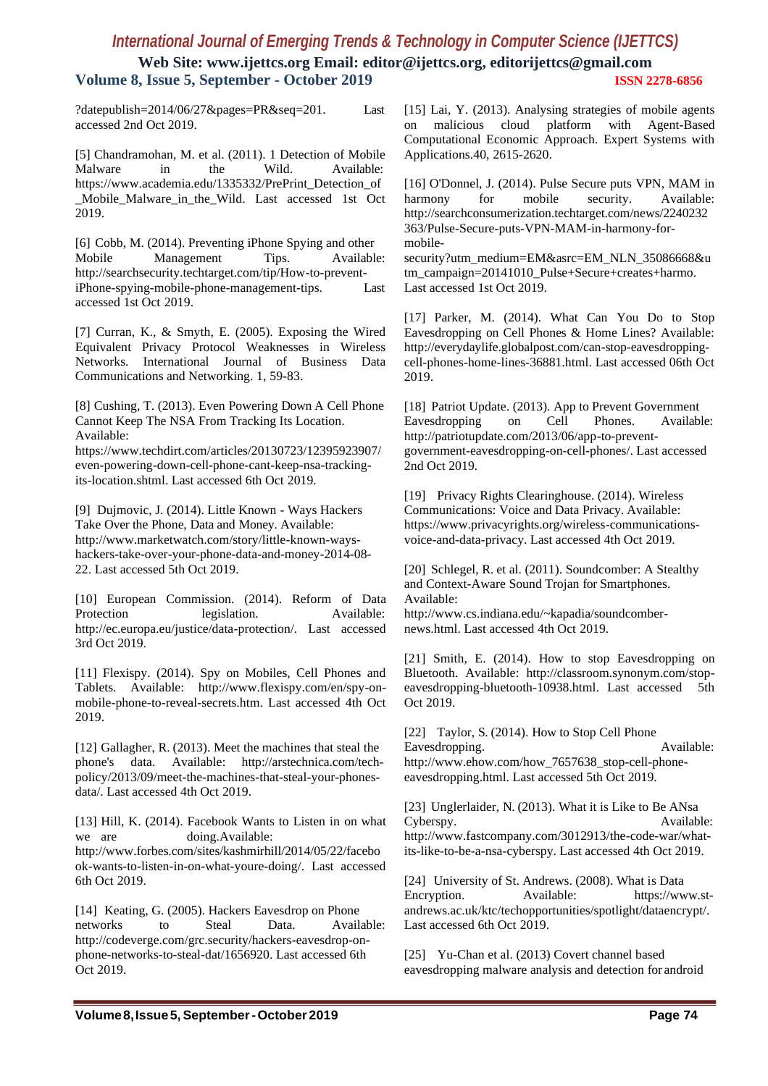## *International Journal of Emerging Trends & Technology in Computer Science (IJETTCS)*

**Web Site: [www.ijettcs.org E](http://www.ijettcs.org/)mail: [editor@ijettcs.org,](mailto:editor@ijettcs.org) [editorijettcs@gmail.com](mailto:editorijettcs@gmail.com) Volume 8, Issue 5, September - October 2019 ISSN 2278-6856**

?datepublish=2014/06/27&pages=PR&seq=201. Last accessed 2nd Oct 2019.

[5] Chandramohan, M. et al. (2011). 1 Detection of Mobile Malware in the Wild. Available: [https://www.academia.edu/1335332/PrePrint\\_Detection\\_of](https://www.academia.edu/1335332/PrePrint_Detection_of) \_Mobile\_Malware\_in\_the\_Wild. Last accessed 1st Oct 2019.

[6] Cobb, M. (2014). Preventing iPhone Spying and other Mobile Management Tips. Available: [http://searchsecurity.techtarget.com/tip/How-to-prevent](http://searchsecurity.techtarget.com/tip/How-to-prevent-)iPhone-spying-mobile-phone-management-tips. Last accessed 1st Oct 2019.

[7] Curran, K., & Smyth, E. (2005). Exposing the Wired Equivalent Privacy Protocol Weaknesses in Wireless Networks. International Journal of Business Data Communications and Networking. 1, 59-83.

[8] Cushing, T. (2013). Even Powering Down A Cell Phone Cannot Keep The NSA From Tracking Its Location. Available:

<https://www.techdirt.com/articles/20130723/12395923907/> even-powering-down-cell-phone-cant-keep-nsa-trackingits-location.shtml. Last accessed 6th Oct 2019.

[9] Dujmovic, J. (2014). Little Known - Ways Hackers Take Over the Phone, Data and Money. Available: [http://www.marketwatch.com/story/little-known-ways](http://www.marketwatch.com/story/little-known-ways-)hackers-take-over-your-phone-data-and-money-2014-08- 22. Last accessed 5th Oct 2019.

[10] European Commission. (2014). Reform of Data Protection legislation. Available: [http://ec.europa.eu/justice/data-protection/.](http://ec.europa.eu/justice/data-protection/) Last accessed 3rd Oct 2019.

[11] Flexispy. (2014). Spy on Mobiles, Cell Phones and Tablets. Available: [http://www.flexispy.com/en/spy-on](http://www.flexispy.com/en/spy-on-)mobile-phone-to-reveal-secrets.htm. Last accessed 4th Oct 2019.

[12] Gallagher, R. (2013). Meet the machines that steal the phone's data. Available: [http://arstechnica.com/tech](http://arstechnica.com/tech-)policy/2013/09/meet-the-machines-that-steal-your-phonesdata/. Last accessed 4th Oct 2019.

[13] Hill, K. (2014). Facebook Wants to Listen in on what we are doing.Available: <http://www.forbes.com/sites/kashmirhill/2014/05/22/facebo> ok-wants-to-listen-in-on-what-youre-doing/. Last accessed 6th Oct 2019.

[14] Keating, G. (2005). Hackers Eavesdrop on Phone networks to Steal Data. Available: [http://codeverge.com/grc.security/hackers-eavesdrop-on](http://codeverge.com/grc.security/hackers-eavesdrop-on-)phone-networks-to-steal-dat/1656920. Last accessed 6th Oct 2019.

[15] Lai, Y. (2013). Analysing strategies of mobile agents on malicious cloud platform with Agent-Based Computational Economic Approach. Expert Systems with Applications.40, 2615-2620.

[16] O'Donnel, J. (2014). Pulse Secure puts VPN, MAM in harmony for mobile security. Available: <http://searchconsumerization.techtarget.com/news/2240232> 363/Pulse-Secure-puts-VPN-MAM-in-harmony-formobile-

security?utm\_medium=EM&asrc=EM\_NLN\_35086668&u tm\_campaign=20141010\_Pulse+Secure+creates+harmo. Last accessed 1st Oct 2019.

[17] Parker, M. (2014). What Can You Do to Stop Eavesdropping on Cell Phones & Home Lines? Available: [http://everydaylife.globalpost.com/can-stop-eavesdropping](http://everydaylife.globalpost.com/can-stop-eavesdropping-)cell-phones-home-lines-36881.html. Last accessed 06th Oct 2019.

[18] Patriot Update. (2013). App to Prevent Government Eavesdropping on Cell Phones. Available: [http://patriotupdate.com/2013/06/app-to-prevent](http://patriotupdate.com/2013/06/app-to-prevent-)government-eavesdropping-on-cell-phones/. Last accessed 2nd Oct 2019.

[19] Privacy Rights Clearinghouse. (2014). Wireless Communications: Voice and Data Privacy. Available: [https://www.privacyrights.org/wireless-communications](https://www.privacyrights.org/wireless-communications-)voice-and-data-privacy. Last accessed 4th Oct 2019.

[20] Schlegel, R. et al. (2011). Soundcomber: A Stealthy and Context-Aware Sound Trojan for Smartphones. Available: [http://www.cs.indiana.edu/~kapadia/soundcomber](http://www.cs.indiana.edu/~kapadia/soundcomber-)news.html. Last accessed 4th Oct 2019.

[21] Smith, E. (2014). How to stop Eavesdropping on Bluetooth. Available: [http://classroom.synonym.com/stop](http://classroom.synonym.com/stop-)eavesdropping-bluetooth-10938.html. Last accessed 5th Oct 2019.

[22] Taylor, S. (2014). How to Stop Cell Phone Eavesdropping. Available: [http://www.ehow.com/how\\_7657638\\_stop-cell-phone](http://www.ehow.com/how_7657638_stop-cell-phone-)eavesdropping.html. Last accessed 5th Oct 2019.

[23] Unglerlaider, N. (2013). What it is Like to Be ANsa Cyberspy. Available: [http://www.fastcompany.com/3012913/the-code-war/what](http://www.fastcompany.com/3012913/the-code-war/what-)its-like-to-be-a-nsa-cyberspy. Last accessed 4th Oct 2019.

[24] University of St. Andrews. (2008). What is Data<br>Encryption. Available: https://ww. Encryption. Available: https://www.standrews.ac.uk/ktc/techopportunities/spotlight/dataencrypt/. Last accessed 6th Oct 2019.

[25] Yu-Chan et al. (2013) Covert channel based eavesdropping malware analysis and detection for android